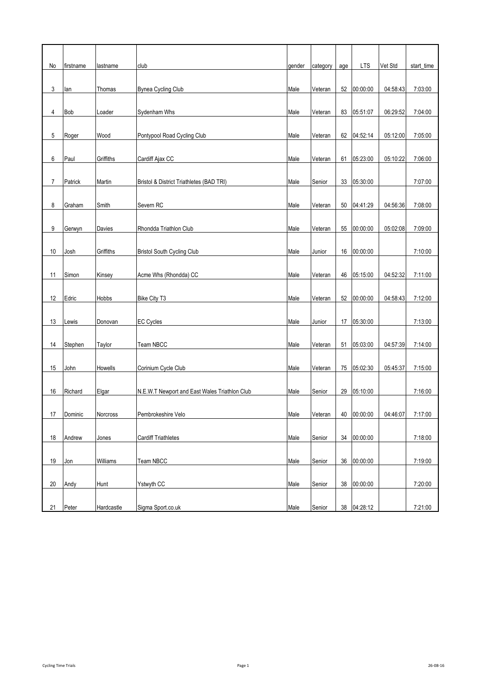| No             | firstname | lastname   | club                                          | gender | category | age | <b>LTS</b>  | Vet Std  | start_time |
|----------------|-----------|------------|-----------------------------------------------|--------|----------|-----|-------------|----------|------------|
|                |           |            |                                               |        |          |     |             |          |            |
| 3              | lan       | Thomas     | <b>Bynea Cycling Club</b>                     | Male   | Veteran  | 52  | 00:00:00    | 04:58:43 | 7:03:00    |
| 4              | Bob       | Loader     | Sydenham Whs                                  | Male   | Veteran  |     | 83 05:51:07 | 06:29:52 | 7:04:00    |
|                |           |            |                                               |        |          |     |             |          |            |
| 5              | Roger     | Wood       | Pontypool Road Cycling Club                   | Male   | Veteran  |     | 62 04:52:14 | 05:12:00 | 7:05:00    |
| 6              | Paul      | Griffiths  | Cardiff Ajax CC                               | Male   | Veteran  |     | 61 05:23:00 | 05:10:22 | 7:06:00    |
|                |           |            |                                               |        |          |     |             |          |            |
| $\overline{7}$ | Patrick   | Martin     | Bristol & District Triathletes (BAD TRI)      | Male   | Senior   | 33  | 05:30:00    |          | 7:07:00    |
|                |           |            |                                               |        |          |     |             |          |            |
| 8              | Graham    | Smith      | Severn RC                                     | Male   | Veteran  | 50  | 04:41:29    | 04:56:36 | 7:08:00    |
| 9              | Gerwyn    | Davies     | Rhondda Triathlon Club                        | Male   | Veteran  | 55  | 00:00:00    | 05:02:08 | 7:09:00    |
|                |           |            |                                               |        |          |     |             |          |            |
| 10             | Josh      | Griffiths  | <b>Bristol South Cycling Club</b>             | Male   | Junior   |     | 16 00:00:00 |          | 7:10:00    |
|                |           |            |                                               |        |          |     |             |          |            |
| 11             | Simon     | Kinsey     | Acme Whs (Rhondda) CC                         | Male   | Veteran  | 46  | 05:15:00    | 04:52:32 | 7:11:00    |
|                |           |            |                                               |        |          |     |             |          |            |
| 12             | Edric     | Hobbs      | <b>Bike City T3</b>                           | Male   | Veteran  |     | 52 00:00:00 | 04:58:43 | 7:12:00    |
| 13             | Lewis     | Donovan    | <b>EC Cycles</b>                              | Male   | Junior   | 17  | 05:30:00    |          | 7:13:00    |
|                |           |            |                                               |        |          |     |             |          |            |
| 14             | Stephen   | Taylor     | Team NBCC                                     | Male   | Veteran  |     | 51 05:03:00 | 04:57:39 | 7:14:00    |
|                |           |            |                                               |        |          |     |             |          |            |
| 15             | John      | Howells    | Corinium Cycle Club                           | Male   | Veteran  | 75  | 05:02:30    | 05:45:37 | 7:15:00    |
| 16             | Richard   | Elgar      | N.E.W.T Newport and East Wales Triathlon Club | Male   | Senior   | 29  | 05:10:00    |          | 7:16:00    |
|                |           |            |                                               |        |          |     |             |          |            |
| 17             | Dominic   | Norcross   | Pembrokeshire Velo                            | Male   | Veteran  | 40  | 00:00:00    | 04:46:07 | 7:17:00    |
|                |           |            |                                               |        |          |     |             |          |            |
| 18             | Andrew    | Jones      | <b>Cardiff Triathletes</b>                    | Male   | Senior   | 34  | 00:00:00    |          | 7:18:00    |
| 19             | Jon       | Williams   | Team NBCC                                     | Male   | Senior   | 36  | 00:00:00    |          | 7:19:00    |
|                |           |            |                                               |        |          |     |             |          |            |
| 20             | Andy      | Hunt       | Ystwyth CC                                    | Male   | Senior   | 38  | 00:00:00    |          | 7:20:00    |
|                |           |            |                                               |        |          |     |             |          |            |
| 21             | Peter     | Hardcastle | Sigma Sport.co.uk                             | Male   | Senior   |     | 38 04:28:12 |          | 7:21:00    |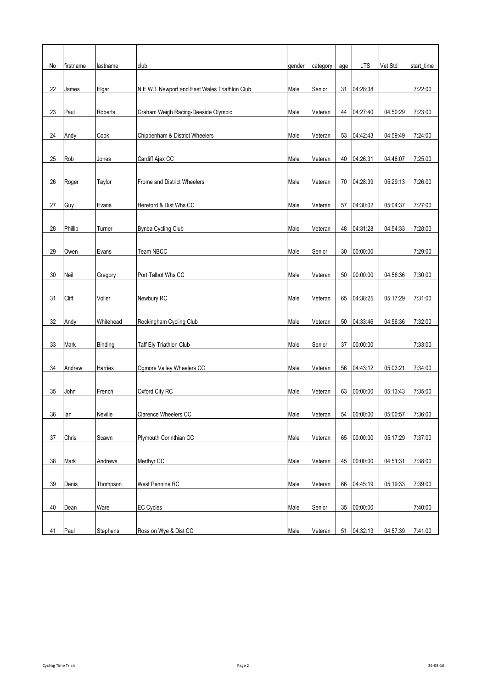| No | firstname | lastname  | club                                          | gender | category | age | <b>LTS</b>  | Vet Std  | start_time |
|----|-----------|-----------|-----------------------------------------------|--------|----------|-----|-------------|----------|------------|
|    |           |           |                                               |        |          |     |             |          |            |
| 22 | James     | Elgar     | N.E.W.T Newport and East Wales Triathlon Club | Male   | Senior   | 31  | 04:28:38    |          | 7:22:00    |
|    |           |           |                                               |        |          |     |             |          |            |
| 23 | Paul      | Roberts   | Graham Weigh Racing-Deeside Olympic           | Male   | Veteran  | 44  | 04:27:40    | 04:50:29 | 7:23:00    |
| 24 | Andy      | Cook      | Chippenham & District Wheelers                | Male   | Veteran  |     | 53 04:42:43 | 04:59:49 | 7:24:00    |
|    |           |           |                                               |        |          |     |             |          |            |
| 25 | Rob       | Jones     | Cardiff Ajax CC                               | Male   | Veteran  |     | 40 04:26:31 | 04:46:07 | 7:25:00    |
|    |           |           |                                               |        |          |     |             |          |            |
| 26 | Roger     | Taylor    | Frome and District Wheelers                   | Male   | Veteran  | 70  | 04:28:39    | 05:29:13 | 7:26:00    |
|    |           |           |                                               |        |          |     |             |          |            |
| 27 | Guy       | Evans     | Hereford & Dist Whs CC                        | Male   | Veteran  | 57  | 04:30:02    | 05:04:37 | 7:27:00    |
|    |           |           |                                               |        |          |     |             |          |            |
| 28 | Phillip   | Turner    | Bynea Cycling Club                            | Male   | Veteran  |     | 48 04:31:28 | 04:54:33 | 7:28:00    |
| 29 | Owen      | Evans     | Team NBCC                                     | Male   | Senior   | 30  | 00:00:00    |          | 7:29:00    |
|    |           |           |                                               |        |          |     |             |          |            |
| 30 | Neil      | Gregory   | Port Talbot Whs CC                            | Male   | Veteran  | 50  | 00:00:00    | 04:56:36 | 7:30:00    |
|    |           |           |                                               |        |          |     |             |          |            |
| 31 | Cliff     | Voller    | Newbury RC                                    | Male   | Veteran  |     | 65 04:38:25 | 05:17:29 | 7:31:00    |
|    |           |           |                                               |        |          |     |             |          |            |
| 32 | Andy      | Whitehead | Rockingham Cycling Club                       | Male   | Veteran  |     | 50 04:33:46 | 04:56:36 | 7:32:00    |
| 33 | Mark      | Binding   | Taff Ely Triathlon Club                       | Male   |          |     | 00:00:00    |          | 7:33:00    |
|    |           |           |                                               |        | Senior   | 37  |             |          |            |
| 34 | Andrew    | Harries   | Ogmore Valley Wheelers CC                     | Male   | Veteran  | 56  | 04:43:12    | 05:03:21 | 7:34:00    |
|    |           |           |                                               |        |          |     |             |          |            |
| 35 | John      | French    | Oxford City RC                                | Male   | Veteran  | 63  | 00:00:00    | 05:13:43 | 7:35:00    |
|    |           |           |                                               |        |          |     |             |          |            |
| 36 | lan       | Neville   | Clarence Wheelers CC                          | Male   | Veteran  | 54  | 00:00:00    | 05:00:57 | 7:36:00    |
|    |           |           |                                               |        |          |     |             |          |            |
| 37 | Chris     | Scawn     | Plymouth Corinthian CC                        | Male   | Veteran  | 65  | 00:00:00    | 05:17:29 | 7:37:00    |
| 38 | Mark      | Andrews   | Merthyr CC                                    | Male   | Veteran  | 45  | 00:00:00    | 04:51:31 | 7:38:00    |
|    |           |           |                                               |        |          |     |             |          |            |
| 39 | Denis     | Thompson  | West Pennine RC                               | Male   | Veteran  | 66  | 04:45:19    | 05:19:33 | 7:39:00    |
|    |           |           |                                               |        |          |     |             |          |            |
| 40 | Dean      | Ware      | <b>EC Cycles</b>                              | Male   | Senior   | 35  | 00:00:00    |          | 7:40:00    |
|    |           |           |                                               |        |          |     |             |          |            |
| 41 | Paul      | Stephens  | Ross on Wye & Dist CC                         | Male   | Veteran  |     | 51 04:32:13 | 04:57:39 | 7:41:00    |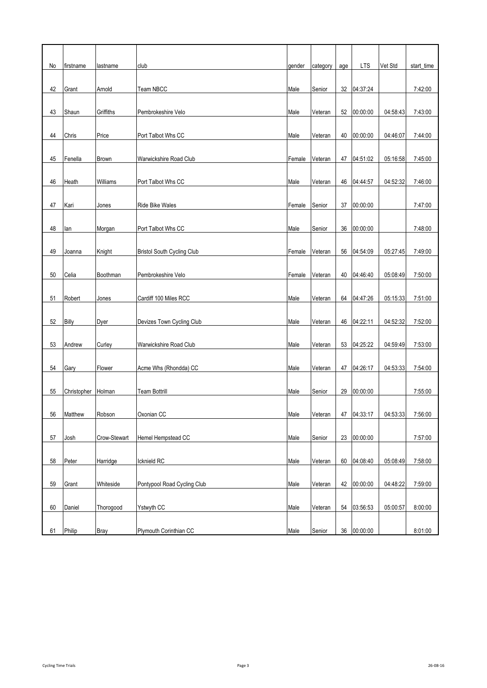| No | firstname    | lastname     | club                              | gender | category | age | <b>LTS</b>  | Vet Std  | start_time |
|----|--------------|--------------|-----------------------------------|--------|----------|-----|-------------|----------|------------|
| 42 | Grant        | Arnold       | Team NBCC                         | Male   | Senior   | 32  | 04:37:24    |          | 7:42:00    |
|    |              |              |                                   |        |          |     |             |          |            |
| 43 | Shaun        | Griffiths    | Pembrokeshire Velo                | Male   | Veteran  |     | 52 00:00:00 | 04:58:43 | 7:43:00    |
| 44 | Chris        | Price        | Port Talbot Whs CC                | Male   | Veteran  | 40  | 00:00:00    | 04:46:07 | 7:44:00    |
| 45 | Fenella      | <b>Brown</b> | Warwickshire Road Club            | Female | Veteran  |     | 47 04:51:02 | 05:16:58 | 7:45:00    |
|    |              |              |                                   |        |          |     |             |          |            |
| 46 | Heath        | Williams     | Port Talbot Whs CC                | Male   | Veteran  | 46  | 04:44:57    | 04:52:32 | 7:46:00    |
| 47 | Kari         | Jones        | Ride Bike Wales                   | Female | Senior   | 37  | 00:00:00    |          | 7:47:00    |
| 48 | lan          | Morgan       | Port Talbot Whs CC                | Male   | Senior   | 36  | 00:00:00    |          | 7:48:00    |
|    |              |              |                                   |        |          |     |             |          |            |
| 49 | Joanna       | Knight       | <b>Bristol South Cycling Club</b> | Female | Veteran  | 56  | 04:54:09    | 05:27:45 | 7:49:00    |
| 50 | Celia        | Boothman     | Pembrokeshire Velo                | Female | Veteran  | 40  | 04:46:40    | 05:08:49 | 7:50:00    |
| 51 | Robert       | Jones        | Cardiff 100 Miles RCC             | Male   | Veteran  | 64  | 04:47:26    | 05:15:33 | 7:51:00    |
| 52 | <b>Billy</b> |              |                                   |        |          |     | 04:22:11    | 04:52:32 | 7:52:00    |
|    |              | Dyer         | Devizes Town Cycling Club         | Male   | Veteran  | 46  |             |          |            |
| 53 | Andrew       | Curley       | Warwickshire Road Club            | Male   | Veteran  |     | 53 04:25:22 | 04:59:49 | 7:53:00    |
| 54 | Gary         | Flower       | Acme Whs (Rhondda) CC             | Male   | Veteran  | 47  | 04:26:17    | 04:53:33 | 7:54:00    |
|    |              |              |                                   |        |          |     |             |          |            |
| 55 | Christopher  | Holman       | <b>Team Bottrill</b>              | Male   | Senior   | 29  | 00:00:00    |          | 7:55:00    |
| 56 | Matthew      | Robson       | Oxonian <sub>CC</sub>             | Male   | Veteran  | 47  | 04:33:17    | 04:53:33 | 7:56:00    |
|    |              |              |                                   |        |          |     |             |          |            |
| 57 | Josh         | Crow-Stewart | Hemel Hempstead CC                | Male   | Senior   |     | 23 00:00:00 |          | 7:57:00    |
| 58 | Peter        | Harridge     | Icknield RC                       | Male   | Veteran  | 60  | 04:08:40    | 05:08:49 | 7:58:00    |
| 59 | Grant        | Whiteside    | Pontypool Road Cycling Club       | Male   | Veteran  |     | 42 00:00:00 | 04:48:22 | 7:59:00    |
| 60 | Daniel       | Thorogood    | Ystwyth CC                        | Male   | Veteran  |     | 54 03:56:53 | 05:00:57 | 8:00:00    |
|    |              |              |                                   |        |          |     |             |          |            |
| 61 | Philip       | <b>Bray</b>  | Plymouth Corinthian CC            | Male   | Senior   |     | 36 00:00:00 |          | 8:01:00    |